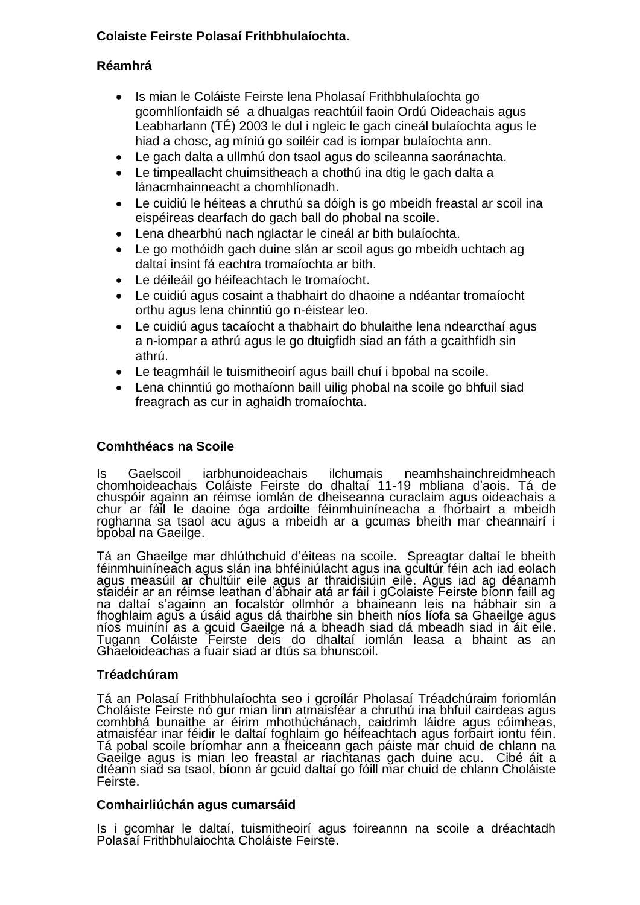#### **Colaiste Feirste Polasaí Frithbhulaíochta.**

#### **Réamhrá**

- Is mian le Coláiste Feirste lena Pholasaí Frithbhulaíochta go gcomhlíonfaidh sé a dhualgas reachtúil faoin Ordú Oideachais agus Leabharlann (TÉ) 2003 le dul i ngleic le gach cineál bulaíochta agus le hiad a chosc, ag míniú go soiléir cad is iompar bulaíochta ann.
- Le gach dalta a ullmhú don tsaol agus do scileanna saoránachta.
- Le timpeallacht chuimsitheach a chothú ina dtig le gach dalta a lánacmhainneacht a chomhlíonadh.
- Le cuidiú le héiteas a chruthú sa dóigh is go mbeidh freastal ar scoil ina eispéireas dearfach do gach ball do phobal na scoile.
- Lena dhearbhú nach nglactar le cineál ar bith bulaíochta.
- Le go mothóidh gach duine slán ar scoil agus go mbeidh uchtach ag daltaí insint fá eachtra tromaíochta ar bith.
- Le déileáil go héifeachtach le tromaíocht.
- Le cuidiú agus cosaint a thabhairt do dhaoine a ndéantar tromaíocht orthu agus lena chinntiú go n-éistear leo.
- Le cuidiú agus tacaíocht a thabhairt do bhulaithe lena ndearcthaí agus a n-iompar a athrú agus le go dtuigfidh siad an fáth a gcaithfidh sin athrú.
- Le teagmháil le tuismitheoirí agus baill chuí i bpobal na scoile.
- Lena chinntiú go mothaíonn baill uilig phobal na scoile go bhfuil siad freagrach as cur in aghaidh tromaíochta.

#### **Comhthéacs na Scoile**

Is Gaelscoil iarbhunoideachais ilchumais neamhshainchreidmheach chomhoideachais Coláiste Feirste do dhaltaí 11-19 mbliana d'aois. Tá de chuspóir againn an réimse iomlán de dheiseanna curaclaim agus oideachais a chur ar fáil le daoine óga ardoilte féinmhuiníneacha a fhorbairt a mbeidh roghanna sa tsaol acu agus a mbeidh ar a gcumas bheith mar cheannairí i bpobal na Gaeilge.

Tá an Ghaeilge mar dhlúthchuid d'éiteas na scoile. Spreagtar daltaí le bheith féinmhuiníneach agus slán ina bhféiniúlacht agus ina gcultúr féin ach iad eolach agus measúil ar chultúir eile agus ar thraidisiúin eile. Agus iad ag déanamh staidéir ar an réimse leathan d'ábhair atá ar fáil i gColaiste Feirste bíonn faill ag na daltaí s'againn an focalstór ollmhór a bhaineann leis na hábhair sin a fhoghlaim agus a úsáid agus dá thairbhe sin bheith níos líofa sa Ghaeilge agus níos muiníní as a gcuid Gaeilge ná a bheadh siad dá mbeadh siad in áit eile. Tugann Coláiste Feirste deis do dhaltaí iomlán leasa a bhaint as an Ghaeloideachas a fuair siad ar dtús sa bhunscoil.

#### **Tréadchúram**

Tá an Polasaí Frithbhulaíochta seo i gcroílár Pholasaí Tréadchúraim foriomlán Choláiste Feirste nó gur mian linn atmaisféar a chruthú ina bhfuil cairdeas agus comhbhá bunaithe ar éirim mhothúchánach, caidrimh láidre agus cóimheas, atmaisféar inar féidir le daltaí foghlaim go héifeachtach agus forbairt iontu féin. Tá pobal scoile bríomhar ann a fheiceann gach páiste mar chuid de chlann na Gaeilge agus is mian leo freastal ar riachtanas gach duine acu. Cibé áit a dtéann siad sa tsaol, bíonn ár gcuid daltaí go fóill mar chuid de chlann Choláiste Feirste.

#### **Comhairliúchán agus cumarsáid**

Is i gcomhar le daltaí, tuismitheoirí agus foireannn na scoile a dréachtadh Polasaí Frithbhulaiochta Choláiste Feirste.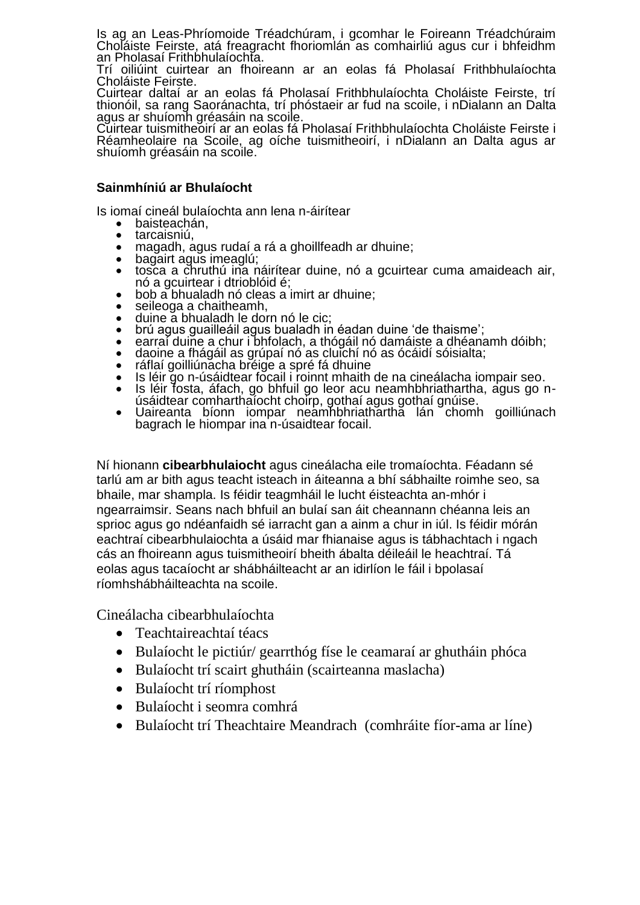Is ag an Leas-Phríomoide Tréadchúram, i gcomhar le Foireann Tréadchúraim Choláiste Feirste, atá freagracht fhoriomlán as comhairliú agus cur i bhfeidhm an Pholasaí Frithbhulaíochta.

Trí oiliúint cuirtear an fhoireann ar an eolas fá Pholasaí Frithbhulaíochta Choláiste Feirste.

Cuirtear daltaí ar an eolas fá Pholasaí Frithbhulaíochta Choláiste Feirste, trí thionóil, sa rang Saoránachta, trí phóstaeir ar fud na scoile, i nDialann an Dalta agus ar shuíomh gréasáin na scoile.

Cuirtear tuismitheoirí ar an eolas fá Pholasaí Frithbhulaíochta Choláiste Feirste i Réamheolaire na Scoile, ag oíche tuismitheoirí, i nDialann an Dalta agus ar shuíomh gréasáin na scoile.

#### **Sainmhíniú ar Bhulaíocht**

Is iomaí cineál bulaíochta ann lena n-áirítear

- baisteachán,
- 
- tarcaisniú,<br>• magadh, a<br>• bagairt agu magadh, agus rudaí a rá a ghoillfeadh ar dhuine;
- bagairt agus imeaglú;
- tosca a chruthú ina náirítear duine, nó a gcuirtear cuma amaideach air, nó a gcuirtear i dtrioblóid é;
- bob a bhualadh nó cleas a imirt ar dhuine;
- seileoga a chaitheamh,
- duine a bhualadh le dorn nó le cic;
- brú agus guailleáil agus bualadh in éadan duine 'de thaisme';
- earraí duine a chur i bhfolach, a thógáil nó damáiste a dhéanamh dóibh;
- daoine a fhágáil as grúpaí nó as cluichí nó as ócáidí sóisialta;
- ráflaí goilliúnacha bréige a spré fá dhuine
- Is léir go n-úsáidtear fócail i roinnt mhaith de na cineálacha iompair seo.
- Is léir fosta, áfach, go bhfuil go leor acu neamhbhriathartha, agus go núsáidtear comharthaíocht choirp, gothaí agus gothaí gnúise.
- Uaireanta bíonn iompar neamhbhriathartha lán chomh goilliúnach bagrach le hiompar ina n-úsaidtear focail.

Ní hionann **cibearbhulaiocht** agus cineálacha eile tromaíochta. Féadann sé tarlú am ar bith agus teacht isteach in áiteanna a bhí sábhailte roimhe seo, sa bhaile, mar shampla. Is féidir teagmháil le lucht éisteachta an-mhór i ngearraimsir. Seans nach bhfuil an bulaí san áit cheannann chéanna leis an sprioc agus go ndéanfaidh sé iarracht gan a ainm a chur in iúl. Is féidir mórán eachtraí cibearbhulaiochta a úsáid mar fhianaise agus is tábhachtach i ngach cás an fhoireann agus tuismitheoirí bheith ábalta déileáil le heachtraí. Tá eolas agus tacaíocht ar shábháilteacht ar an idirlíon le fáil i bpolasaí ríomhshábháilteachta na scoile.

Cineálacha cibearbhulaíochta

- Teachtaireachtaí téacs
- Bulaíocht le pictiúr/ gearrthóg físe le ceamaraí ar ghutháin phóca
- Bulaíocht trí scairt ghutháin (scairteanna maslacha)
- Bulaíocht trí ríomphost
- Bulaíocht i seomra comhrá
- Bulaíocht trí Theachtaire Meandrach (comhráite fíor-ama ar líne)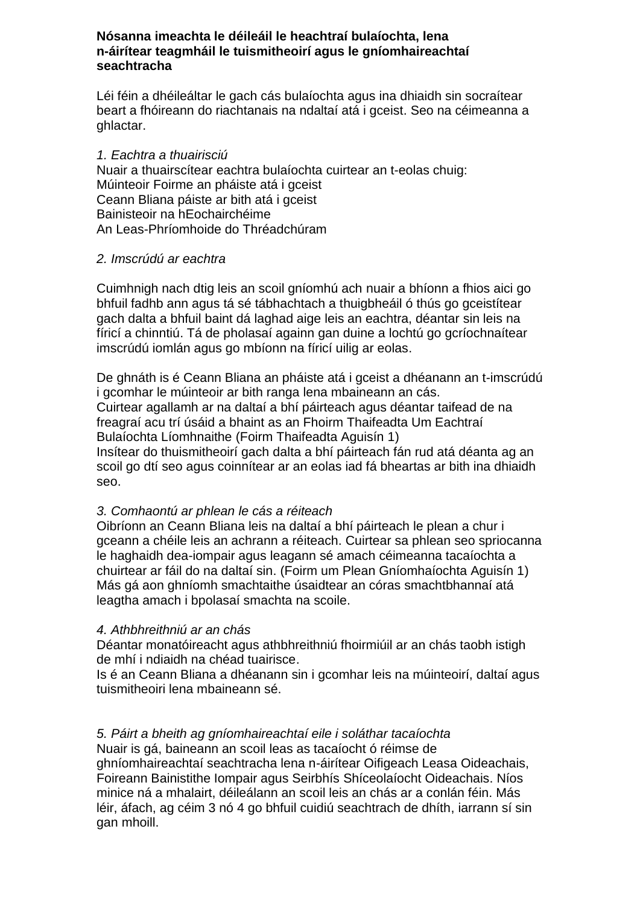#### **Nósanna imeachta le déileáil le heachtraí bulaíochta, lena n-áirítear teagmháil le tuismitheoirí agus le gníomhaireachtaí seachtracha**

Léi féin a dhéileáltar le gach cás bulaíochta agus ina dhiaidh sin socraítear beart a fhóireann do riachtanais na ndaltaí atá i gceist. Seo na céimeanna a ghlactar.

#### *1. Eachtra a thuairisciú*

Nuair a thuairscítear eachtra bulaíochta cuirtear an t-eolas chuig: Múinteoir Foirme an pháiste atá i gceist Ceann Bliana páiste ar bith atá i gceist Bainisteoir na hEochairchéime An Leas-Phríomhoide do Thréadchúram

#### *2. Imscrúdú ar eachtra*

Cuimhnigh nach dtig leis an scoil gníomhú ach nuair a bhíonn a fhios aici go bhfuil fadhb ann agus tá sé tábhachtach a thuigbheáil ó thús go gceistítear gach dalta a bhfuil baint dá laghad aige leis an eachtra, déantar sin leis na fíricí a chinntiú. Tá de pholasaí againn gan duine a lochtú go gcríochnaítear imscrúdú iomlán agus go mbíonn na fíricí uilig ar eolas.

De ghnáth is é Ceann Bliana an pháiste atá i gceist a dhéanann an t-imscrúdú i gcomhar le múinteoir ar bith ranga lena mbaineann an cás. Cuirtear agallamh ar na daltaí a bhí páirteach agus déantar taifead de na freagraí acu trí úsáid a bhaint as an Fhoirm Thaifeadta Um Eachtraí Bulaíochta Líomhnaithe (Foirm Thaifeadta Aguisín 1) Insítear do thuismitheoirí gach dalta a bhí páirteach fán rud atá déanta ag an scoil go dtí seo agus coinnítear ar an eolas iad fá bheartas ar bith ina dhiaidh seo.

#### *3. Comhaontú ar phlean le cás a réiteach*

Oibríonn an Ceann Bliana leis na daltaí a bhí páirteach le plean a chur i gceann a chéile leis an achrann a réiteach. Cuirtear sa phlean seo spriocanna le haghaidh dea-iompair agus leagann sé amach céimeanna tacaíochta a chuirtear ar fáil do na daltaí sin. (Foirm um Plean Gníomhaíochta Aguisín 1) Más gá aon ghníomh smachtaithe úsaidtear an córas smachtbhannaí atá leagtha amach i bpolasaí smachta na scoile.

#### *4. Athbhreithniú ar an chás*

Déantar monatóireacht agus athbhreithniú fhoirmiúil ar an chás taobh istigh de mhí i ndiaidh na chéad tuairisce.

Is é an Ceann Bliana a dhéanann sin i gcomhar leis na múinteoirí, daltaí agus tuismitheoiri lena mbaineann sé.

#### *5. Páirt a bheith ag gníomhaireachtaí eile i soláthar tacaíochta*

Nuair is gá, baineann an scoil leas as tacaíocht ó réimse de ghníomhaireachtaí seachtracha lena n-áirítear Oifigeach Leasa Oideachais, Foireann Bainistithe Iompair agus Seirbhís Shíceolaíocht Oideachais. Níos minice ná a mhalairt, déileálann an scoil leis an chás ar a conlán féin. Más léir, áfach, ag céim 3 nó 4 go bhfuil cuidiú seachtrach de dhíth, iarrann sí sin gan mhoill.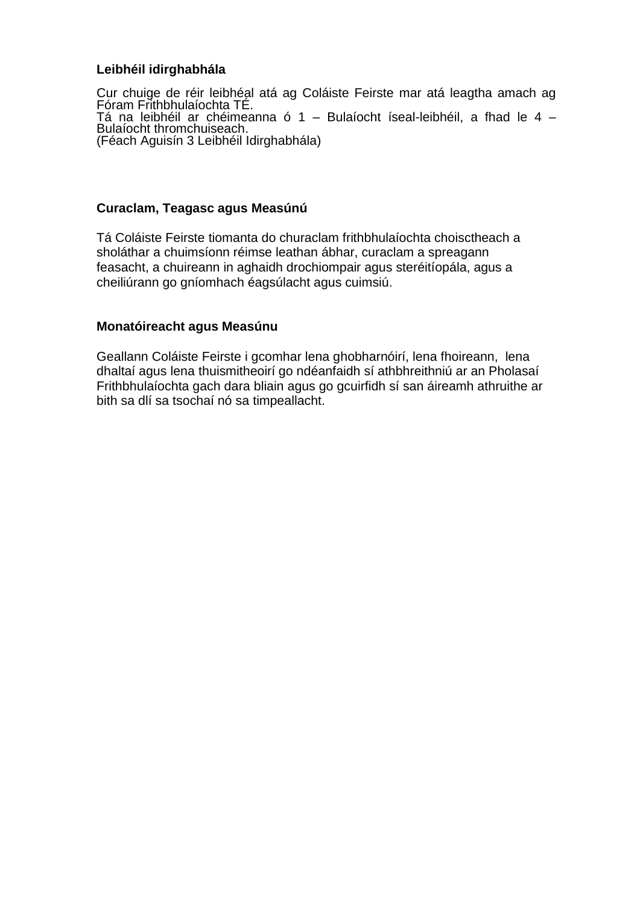#### **Leibhéil idirghabhála**

Cur chuige de réir leibhéal atá ag Coláiste Feirste mar atá leagtha amach ag<br>Fóram Frithbhulaíochta TÉ. Tá na leibhéil ar chéimeanna ó 1 – Bulaíocht íseal-leibhéil, a fhad le 4 – Bulaíocht thromchuiseach. (Féach Aguisín 3 Leibhéil Idirghabhála)

#### **Curaclam, Teagasc agus Measúnú**

Tá Coláiste Feirste tiomanta do churaclam frithbhulaíochta choisctheach a sholáthar a chuimsíonn réimse leathan ábhar, curaclam a spreagann feasacht, a chuireann in aghaidh drochiompair agus steréitíopála, agus a cheiliúrann go gníomhach éagsúlacht agus cuimsiú.

#### **Monatóireacht agus Measúnu**

Geallann Coláiste Feirste i gcomhar lena ghobharnóirí, lena fhoireann, lena dhaltaí agus lena thuismitheoirí go ndéanfaidh sí athbhreithniú ar an Pholasaí Frithbhulaíochta gach dara bliain agus go gcuirfidh sí san áireamh athruithe ar bith sa dlí sa tsochaí nó sa timpeallacht.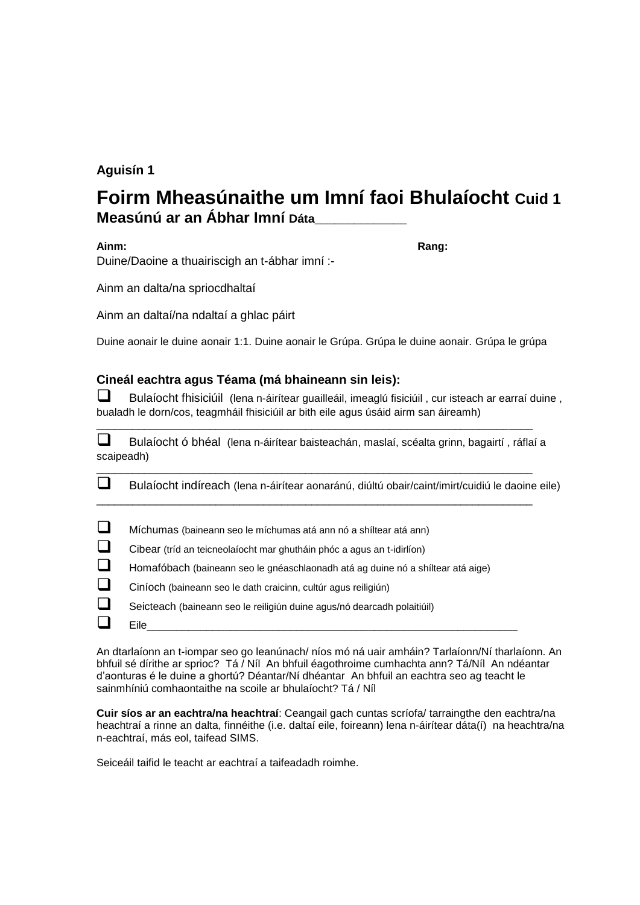#### **Aguisín 1**

## **Foirm Mheasúnaithe um Imní faoi Bhulaíocht Cuid 1 Measúnú ar an Ábhar Imní Dáta\_\_\_\_\_\_\_\_\_\_\_\_\_\_**

**Ainm: Rang:** Duine/Daoine a thuairiscigh an t-ábhar imní :-

Ainm an dalta/na spriocdhaltaí

Ainm an daltaí/na ndaltaí a ghlac páirt

Duine aonair le duine aonair 1:1. Duine aonair le Grúpa. Grúpa le duine aonair. Grúpa le grúpa

#### **Cineál eachtra agus Téama (má bhaineann sin leis):**

Bulaíocht fhisiciúil (lena n-áirítear guailleáil, imeaglú fisiciúil, cur isteach ar earraí duine, bualadh le dorn/cos, teagmháil fhisiciúil ar bith eile agus úsáid airm san áireamh)

Bulaíocht ó bhéal (lena n-áirítear baisteachán, maslaí, scéalta grinn, bagairtí , ráflaí a scaipeadh)

\_\_\_\_\_\_\_\_\_\_\_\_\_\_\_\_\_\_\_\_\_\_\_\_\_\_\_\_\_\_\_\_\_\_\_\_\_\_\_\_\_\_\_\_\_\_\_\_\_\_\_\_\_\_\_\_\_\_\_\_\_\_\_\_\_\_\_\_\_\_\_\_\_

\_\_\_\_\_\_\_\_\_\_\_\_\_\_\_\_\_\_\_\_\_\_\_\_\_\_\_\_\_\_\_\_\_\_\_\_\_\_\_\_\_\_\_\_\_\_\_\_\_\_\_\_\_\_\_\_\_\_\_\_\_\_\_\_\_\_\_\_\_\_\_\_\_

\_\_\_\_\_\_\_\_\_\_\_\_\_\_\_\_\_\_\_\_\_\_\_\_\_\_\_\_\_\_\_\_\_\_\_\_\_\_\_\_\_\_\_\_\_\_\_\_\_\_\_\_\_\_\_\_\_\_\_\_\_\_\_\_\_\_\_\_\_\_\_\_\_

Bulaíocht indíreach (lena n-áirítear aonaránú, diúltú obair/caint/imirt/cuidiú le daoine eile)

| $\Box$ | Míchumas (baineann seo le míchumas atá ann nó a shíltear atá ann) |
|--------|-------------------------------------------------------------------|
|        |                                                                   |

Cibear (tríd an teicneolaíocht mar ghutháin phóc a agus an t-idirlíon)

Homafóbach (baineann seo le gnéaschlaonadh atá ag duine nó a shíltear atá aige)

Eile\_\_\_\_\_\_\_\_\_\_\_\_\_\_\_\_\_\_\_\_\_\_\_\_\_\_\_\_\_\_\_\_\_\_\_\_\_\_\_\_\_\_\_\_\_\_\_\_\_\_\_\_\_\_\_\_\_\_\_\_\_\_

- Ciníoch (baineann seo le dath craicinn, cultúr agus reiligiún)
- Seicteach (baineann seo le reiligiún duine agus/nó dearcadh polaitiúil)

An dtarlaíonn an t-iompar seo go leanúnach/ níos mó ná uair amháin? Tarlaíonn/Ní tharlaíonn. An bhfuil sé dírithe ar sprioc? Tá / Níl An bhfuil éagothroime cumhachta ann? Tá/Níl An ndéantar d'aonturas é le duine a ghortú? Déantar/Ní dhéantar An bhfuil an eachtra seo ag teacht le sainmhíniú comhaontaithe na scoile ar bhulaíocht? Tá / Níl

**Cuir síos ar an eachtra/na heachtraí**: Ceangail gach cuntas scríofa/ tarraingthe den eachtra/na heachtraí a rinne an dalta, finnéithe (i.e. daltaí eile, foireann) lena n-áirítear dáta(í) na heachtra/na n-eachtraí, más eol, taifead SIMS.

Seiceáil taifid le teacht ar eachtraí a taifeadadh roimhe.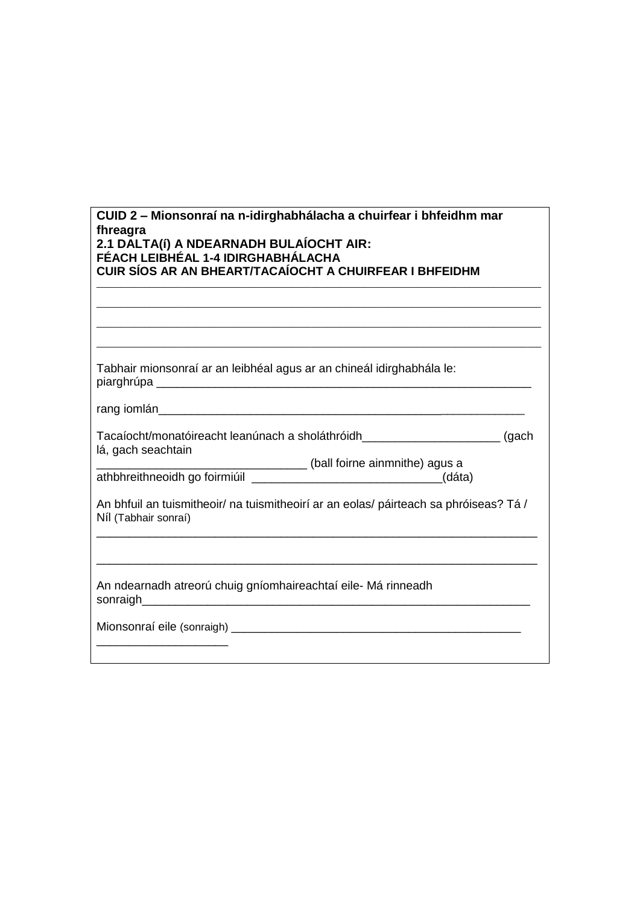| CUID 2 - Mionsonraí na n-idirghabhálacha a chuirfear i bhfeidhm mar<br>fhreagra<br>2.1 DALTA(í) A NDEARNADH BULAÍOCHT AIR:<br>FÉACH LEIBHÉAL 1-4 IDIRGHABHÁLACHA<br><b>CUIR SÍOS AR AN BHEART/TACAÍOCHT A CHUIRFEAR I BHFEIDHM</b> |
|------------------------------------------------------------------------------------------------------------------------------------------------------------------------------------------------------------------------------------|
|                                                                                                                                                                                                                                    |
| Tabhair mionsonraí ar an leibhéal agus ar an chineál idirghabhála le:                                                                                                                                                              |
|                                                                                                                                                                                                                                    |
| Tacaíocht/monatóireacht leanúnach a sholáthróidh__________________________(gach<br>lá, gach seachtain<br>(ball foirne ainmnithe) agus a                                                                                            |
| An bhfuil an tuismitheoir/ na tuismitheoirí ar an eolas/ páirteach sa phróiseas? Tá /<br>Níl (Tabhair sonraí)                                                                                                                      |
|                                                                                                                                                                                                                                    |
| An ndearnadh atreorú chuig gníomhaireachtaí eile- Má rinneadh                                                                                                                                                                      |
|                                                                                                                                                                                                                                    |
|                                                                                                                                                                                                                                    |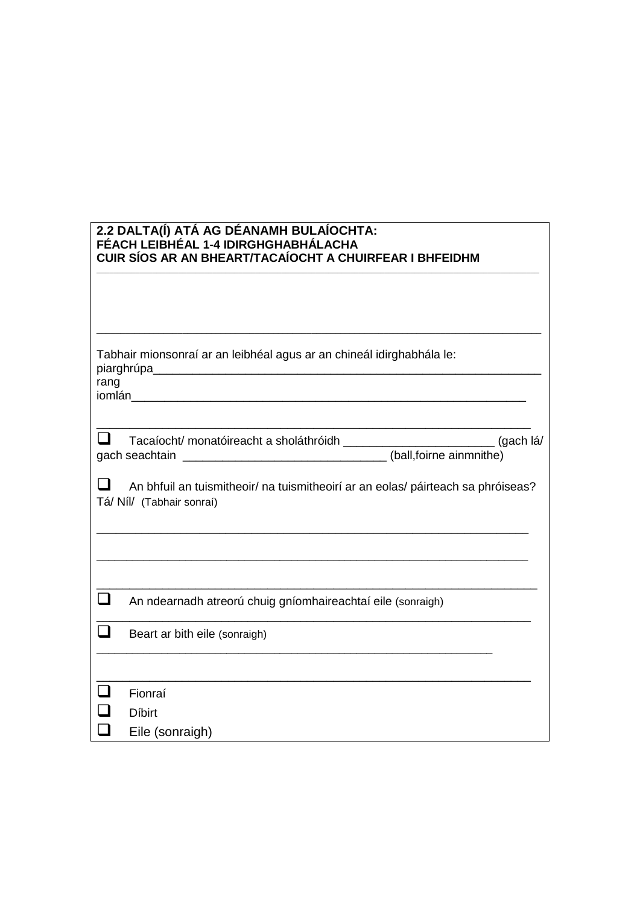#### **2.2 DALTA(Í) ATÁ AG DÉANAMH BULAÍOCHTA: FÉACH LEIBHÉAL 1-4 IDIRGHGHABHÁLACHA CUIR SÍOS AR AN BHEART/TACAÍOCHT A CHUIRFEAR I BHFEIDHM**

| rang | Tabhair mionsonraí ar an leibhéal agus ar an chineál idirghabhála le:                                         |
|------|---------------------------------------------------------------------------------------------------------------|
|      | Tacaíocht/ monatóireacht a sholáthróidh ___________________________(gach lá/                                  |
|      |                                                                                                               |
|      | An bhfuil an tuismitheoir/ na tuismitheoirí ar an eolas/ páirteach sa phróiseas?<br>Tá/ Níl/ (Tabhair sonraí) |
|      | An ndearnadh atreorú chuig gníomhaireachtaí eile (sonraigh)                                                   |
|      | Beart ar bith eile (sonraigh)                                                                                 |
|      |                                                                                                               |
|      | Fionraí                                                                                                       |
|      | <b>Díbirt</b>                                                                                                 |
|      | Eile (sonraigh)                                                                                               |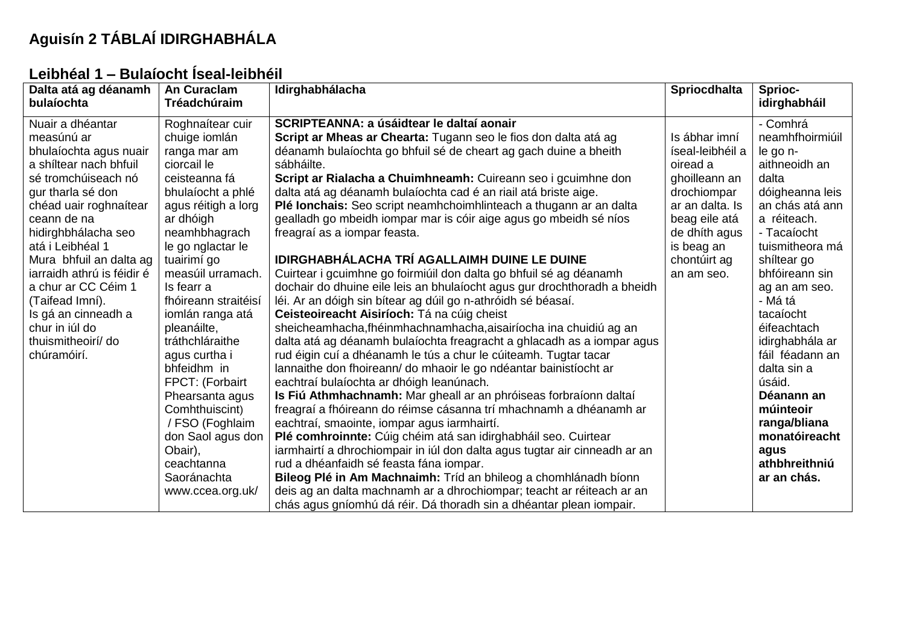# **Aguisín 2 TÁBLAÍ IDIRGHABHÁLA**

## **Leibhéal 1 – Bulaíocht Íseal-leibhéil**

| Dalta atá ag déanamh<br>bulaíochta                                                                                                                                                                                                                                                                                                                                                                  | An Curaclam<br>Tréadchúraim                                                                                                                                                                                                                                                                                                                                                                                                                                                                                  | Idirghabhálacha                                                                                                                                                                                                                                                                                                                                                                                                                                                                                                                                                                                                                                                                                                                                                                                                                                                                                                                                                                                                                                                                                                                                                                                                                                                                                                                                                                                                                                                                                                                                                                                                                                                                                                                                                            | <b>Spriocdhalta</b>                                                                                                                                                            | Sprioc-<br>idirghabháil                                                                                                                                                                                                                                                                                                                                                                                              |
|-----------------------------------------------------------------------------------------------------------------------------------------------------------------------------------------------------------------------------------------------------------------------------------------------------------------------------------------------------------------------------------------------------|--------------------------------------------------------------------------------------------------------------------------------------------------------------------------------------------------------------------------------------------------------------------------------------------------------------------------------------------------------------------------------------------------------------------------------------------------------------------------------------------------------------|----------------------------------------------------------------------------------------------------------------------------------------------------------------------------------------------------------------------------------------------------------------------------------------------------------------------------------------------------------------------------------------------------------------------------------------------------------------------------------------------------------------------------------------------------------------------------------------------------------------------------------------------------------------------------------------------------------------------------------------------------------------------------------------------------------------------------------------------------------------------------------------------------------------------------------------------------------------------------------------------------------------------------------------------------------------------------------------------------------------------------------------------------------------------------------------------------------------------------------------------------------------------------------------------------------------------------------------------------------------------------------------------------------------------------------------------------------------------------------------------------------------------------------------------------------------------------------------------------------------------------------------------------------------------------------------------------------------------------------------------------------------------------|--------------------------------------------------------------------------------------------------------------------------------------------------------------------------------|----------------------------------------------------------------------------------------------------------------------------------------------------------------------------------------------------------------------------------------------------------------------------------------------------------------------------------------------------------------------------------------------------------------------|
| Nuair a dhéantar<br>measúnú ar<br>bhulaíochta agus nuair<br>a shíltear nach bhfuil<br>sé tromchúiseach nó<br>gur tharla sé don<br>chéad uair roghnaítear<br>ceann de na<br>hidirghbhálacha seo<br>atá i Leibhéal 1<br>Mura bhfuil an dalta ag<br>jarraidh athrú is féidir é<br>a chur ar CC Céim 1<br>(Taifead Imní).<br>Is gá an cinneadh a<br>chur in iúl do<br>thuismitheoirí/ do<br>chúramóirí. | Roghnaítear cuir<br>chuige iomlán<br>ranga mar am<br>ciorcail le<br>ceisteanna fá<br>bhulaíocht a phlé<br>agus réitigh a lorg<br>ar dhóigh<br>neamhbhagrach<br>le go nglactar le<br>tuairimí go<br>measúil urramach.<br>Is fearr a<br>fhóireann straitéisí<br>iomlán ranga atá<br>pleanáilte,<br>tráthchláraithe<br>agus curtha i<br>bhfeidhm in<br>FPCT: (Forbairt<br>Phearsanta agus<br>Comhthuiscint)<br>/ FSO (Foghlaim<br>don Saol agus don<br>Obair),<br>ceachtanna<br>Saoránachta<br>www.ccea.org.uk/ | SCRIPTEANNA: a úsáidtear le daltaí aonair<br>Script ar Mheas ar Chearta: Tugann seo le fios don dalta atá ag<br>déanamh bulaíochta go bhfuil sé de cheart ag gach duine a bheith<br>sábháilte.<br>Script ar Rialacha a Chuimhneamh: Cuireann seo i gcuimhne don<br>dalta atá ag déanamh bulaíochta cad é an riail atá briste aige.<br>Plé lonchais: Seo script neamhchoimhlinteach a thugann ar an dalta<br>gealladh go mbeidh iompar mar is cóir aige agus go mbeidh sé níos<br>freagraí as a iompar feasta.<br>IDIRGHABHÁLACHA TRÍ AGALLAIMH DUINE LE DUINE<br>Cuirtear i gcuimhne go foirmiúil don dalta go bhfuil sé ag déanamh<br>dochair do dhuine eile leis an bhulaíocht agus gur drochthoradh a bheidh<br>léi. Ar an dóigh sin bítear ag dúil go n-athróidh sé béasaí.<br>Ceisteoireacht Aisiríoch: Tá na cúig cheist<br>sheicheamhacha, fhéinmhachnamhacha, aisairíocha ina chuidiú ag an<br>dalta atá ag déanamh bulaíochta freagracht a ghlacadh as a iompar agus<br>rud éigin cuí a dhéanamh le tús a chur le cúiteamh. Tugtar tacar<br>lannaithe don fhoireann/ do mhaoir le go ndéantar bainistíocht ar<br>eachtraí bulaíochta ar dhóigh leanúnach.<br>Is Fiú Athmhachnamh: Mar gheall ar an phróiseas forbraíonn daltaí<br>freagraí a fhóireann do réimse cásanna trí mhachnamh a dhéanamh ar<br>eachtraí, smaointe, iompar agus iarmhairtí.<br>Plé comhroinnte: Cúig chéim atá san idirghabháil seo. Cuirtear<br>iarmhairtí a dhrochiompair in iúl don dalta agus tugtar air cinneadh ar an<br>rud a dhéanfaidh sé feasta fána iompar.<br>Bileog Plé in Am Machnaimh: Tríd an bhileog a chomhlánadh bíonn<br>deis ag an dalta machnamh ar a dhrochiompar; teacht ar réiteach ar an<br>chás agus gníomhú dá réir. Dá thoradh sin a dhéantar plean iompair. | Is ábhar imní<br>íseal-leibhéil a<br>oiread a<br>ghoilleann an<br>drochiompar<br>ar an dalta. Is<br>beag eile atá<br>de dhíth agus<br>is beag an<br>chontúirt ag<br>an am seo. | - Comhrá<br>neamhfhoirmiúil<br>le go n-<br>aithneoidh an<br>dalta<br>dóigheanna leis<br>an chás atá ann<br>a réiteach.<br>- Tacaíocht<br>tuismitheora má<br>shíltear go<br>bhfóireann sin<br>ag an am seo.<br>- Má tá<br>tacaíocht<br>éifeachtach<br>idirghabhála ar<br>fáil féadann an<br>dalta sin a<br>úsáid.<br>Déanann an<br>múinteoir<br>ranga/bliana<br>monatóireacht<br>agus<br>athbhreithniú<br>ar an chás. |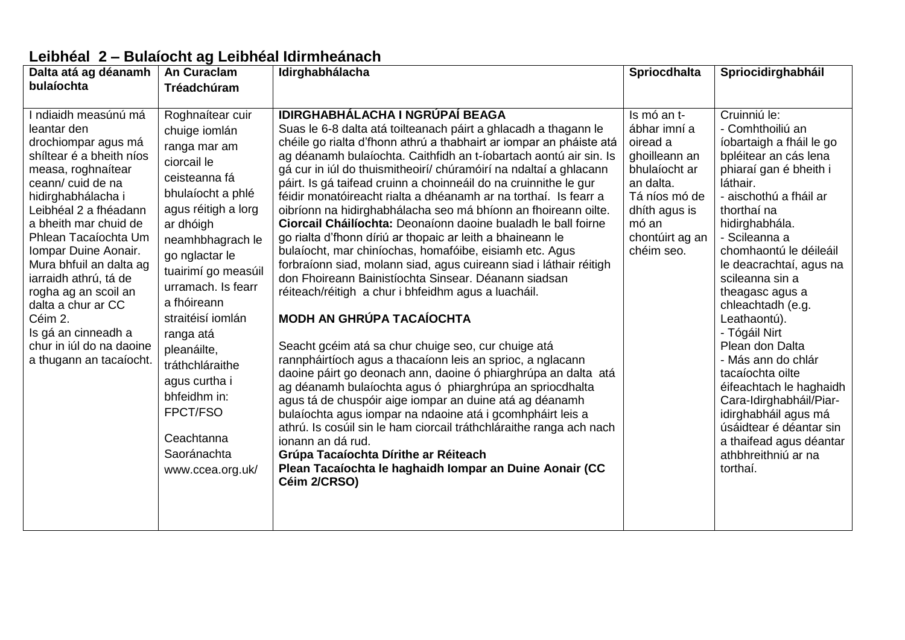### **Leibhéal 2 – Bulaíocht ag Leibhéal Idirmheánach**

| Dalta atá ag déanamh                                                                                                                                                                                                                                                                                                                                                                                                                               | <b>An Curaclam</b>                                                                                                                                                                                                                                                                                                                                                                                             | Idirghabhálacha                                                                                                                                                                                                                                                                                                                                                                                                                                                                                                                                                                                                                                                                                                                                                                                                                                                                                                                                                                                                                                                                                                                                                                                                                                                                                                                                                                                                                                                                                                                             | <b>Spriocdhalta</b>                                                                                                                                                | Spriocidirghabháil                                                                                                                                                                                                                                                                                                                                                                                                                                                                                                                                                                           |
|----------------------------------------------------------------------------------------------------------------------------------------------------------------------------------------------------------------------------------------------------------------------------------------------------------------------------------------------------------------------------------------------------------------------------------------------------|----------------------------------------------------------------------------------------------------------------------------------------------------------------------------------------------------------------------------------------------------------------------------------------------------------------------------------------------------------------------------------------------------------------|---------------------------------------------------------------------------------------------------------------------------------------------------------------------------------------------------------------------------------------------------------------------------------------------------------------------------------------------------------------------------------------------------------------------------------------------------------------------------------------------------------------------------------------------------------------------------------------------------------------------------------------------------------------------------------------------------------------------------------------------------------------------------------------------------------------------------------------------------------------------------------------------------------------------------------------------------------------------------------------------------------------------------------------------------------------------------------------------------------------------------------------------------------------------------------------------------------------------------------------------------------------------------------------------------------------------------------------------------------------------------------------------------------------------------------------------------------------------------------------------------------------------------------------------|--------------------------------------------------------------------------------------------------------------------------------------------------------------------|----------------------------------------------------------------------------------------------------------------------------------------------------------------------------------------------------------------------------------------------------------------------------------------------------------------------------------------------------------------------------------------------------------------------------------------------------------------------------------------------------------------------------------------------------------------------------------------------|
| bulaíochta                                                                                                                                                                                                                                                                                                                                                                                                                                         | Tréadchúram                                                                                                                                                                                                                                                                                                                                                                                                    |                                                                                                                                                                                                                                                                                                                                                                                                                                                                                                                                                                                                                                                                                                                                                                                                                                                                                                                                                                                                                                                                                                                                                                                                                                                                                                                                                                                                                                                                                                                                             |                                                                                                                                                                    |                                                                                                                                                                                                                                                                                                                                                                                                                                                                                                                                                                                              |
| ndiaidh measúnú má<br>leantar den<br>drochiompar agus má<br>shíltear é a bheith níos<br>measa, roghnaítear<br>ceann/ cuid de na<br>hidirghabhálacha i<br>Leibhéal 2 a fhéadann<br>a bheith mar chuid de<br>Phlean Tacaíochta Um<br>Iompar Duine Aonair.<br>Mura bhfuil an dalta ag<br>iarraidh athrú, tá de<br>rogha ag an scoil an<br>dalta a chur ar CC<br>Céim 2.<br>Is gá an cinneadh a<br>chur in iúl do na daoine<br>a thugann an tacaíocht. | Roghnaítear cuir<br>chuige iomlán<br>ranga mar am<br>ciorcail le<br>ceisteanna fá<br>bhulaíocht a phlé<br>agus réitigh a lorg<br>ar dhóigh<br>neamhbhagrach le<br>go nglactar le<br>tuairimí go measúil<br>urramach. Is fearr<br>a fhóireann<br>straitéisí iomlán<br>ranga atá<br>pleanáilte,<br>tráthchláraithe<br>agus curtha i<br>bhfeidhm in:<br>FPCT/FSO<br>Ceachtanna<br>Saoránachta<br>www.ccea.org.uk/ | IDIRGHABHÁLACHA I NGRÚPAÍ BEAGA<br>Suas le 6-8 dalta atá toilteanach páirt a ghlacadh a thagann le<br>chéile go rialta d'fhonn athrú a thabhairt ar iompar an pháiste atá<br>ag déanamh bulaíochta. Caithfidh an t-íobartach aontú air sin. Is<br>gá cur in iúl do thuismitheoirí/ chúramóirí na ndaltaí a ghlacann<br>páirt. Is gá taifead cruinn a choinneáil do na cruinnithe le gur<br>féidir monatóireacht rialta a dhéanamh ar na torthaí. Is fearr a<br>oibríonn na hidirghabhálacha seo má bhíonn an fhoireann oilte.<br>Ciorcail Cháilíochta: Deonaíonn daoine bualadh le ball foirne<br>go rialta d'fhonn díriú ar thopaic ar leith a bhaineann le<br>bulaíocht, mar chiníochas, homafóibe, eisiamh etc. Agus<br>forbraíonn siad, molann siad, agus cuireann siad i láthair réitigh<br>don Fhoireann Bainistíochta Sinsear. Déanann siadsan<br>réiteach/réitigh a chur i bhfeidhm agus a luacháil.<br><b>MODH AN GHRÚPA TACAÍOCHTA</b><br>Seacht gcéim atá sa chur chuige seo, cur chuige atá<br>rannpháirtíoch agus a thacaíonn leis an sprioc, a nglacann<br>daoine páirt go deonach ann, daoine ó phiarghrúpa an dalta atá<br>ag déanamh bulaíochta agus ó phiarghrúpa an spriocdhalta<br>agus tá de chuspóir aige iompar an duine atá ag déanamh<br>bulaíochta agus iompar na ndaoine atá i gcomhpháirt leis a<br>athrú. Is cosúil sin le ham ciorcail tráthchláraithe ranga ach nach<br>ionann an dá rud.<br>Grúpa Tacaíochta Dírithe ar Réiteach<br>Plean Tacaíochta le haghaidh Iompar an Duine Aonair (CC<br>Céim 2/CRSO) | Is mó an t-<br>ábhar imní a<br>oiread a<br>ghoilleann an<br>bhulaíocht ar<br>an dalta.<br>Tá níos mó de<br>dhith agus is<br>mó an<br>chontúirt ag an<br>chéim seo. | Cruinniú le:<br>- Comhthoiliú an<br>íobartaigh a fháil le go<br>bpléitear an cás lena<br>phiaraí gan é bheith i<br>láthair.<br>- aischothú a fháil ar<br>thorthaí na<br>hidirghabhála.<br>- Scileanna a<br>chomhaontú le déileáil<br>le deacrachtaí, agus na<br>scileanna sin a<br>theagasc agus a<br>chleachtadh (e.g.<br>Leathaontú).<br>- Tógáil Nirt<br>Plean don Dalta<br>- Más ann do chlár<br>tacaíochta oilte<br>éifeachtach le haghaidh<br>Cara-Idirghabháil/Piar-<br>idirghabháil agus má<br>úsáidtear é déantar sin<br>a thaifead agus déantar<br>athbhreithniú ar na<br>torthaí. |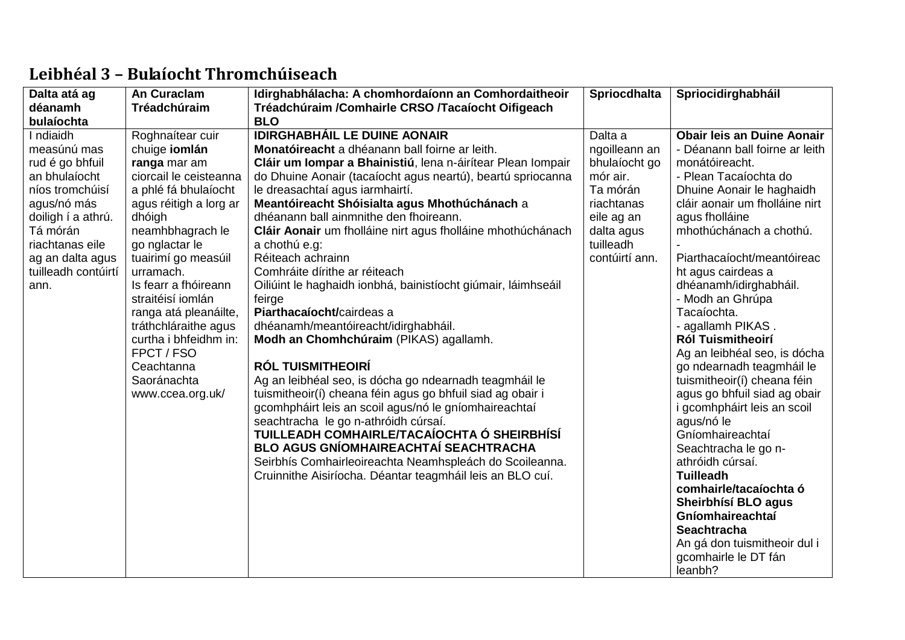| Dalta atá ag        | <b>An Curaclam</b>                                                                                                                                         | Idirghabhálacha: A chomhordaíonn an Comhordaitheoir                                                                                                                                                                                                                                                                                                                                                                                                                                                                                                                                               | <b>Spriocdhalta</b> | Spriocidirghabháil                                                                                                                                                                                                                                                                                                                                                                                                                                                                                                                               |
|---------------------|------------------------------------------------------------------------------------------------------------------------------------------------------------|---------------------------------------------------------------------------------------------------------------------------------------------------------------------------------------------------------------------------------------------------------------------------------------------------------------------------------------------------------------------------------------------------------------------------------------------------------------------------------------------------------------------------------------------------------------------------------------------------|---------------------|--------------------------------------------------------------------------------------------------------------------------------------------------------------------------------------------------------------------------------------------------------------------------------------------------------------------------------------------------------------------------------------------------------------------------------------------------------------------------------------------------------------------------------------------------|
| déanamh             | Tréadchúraim                                                                                                                                               | Tréadchúraim /Comhairle CRSO /Tacaíocht Oifigeach                                                                                                                                                                                                                                                                                                                                                                                                                                                                                                                                                 |                     |                                                                                                                                                                                                                                                                                                                                                                                                                                                                                                                                                  |
| bulaíochta          |                                                                                                                                                            | <b>BLO</b>                                                                                                                                                                                                                                                                                                                                                                                                                                                                                                                                                                                        |                     |                                                                                                                                                                                                                                                                                                                                                                                                                                                                                                                                                  |
| I ndiaidh           | Roghnaítear cuir                                                                                                                                           | <b>IDIRGHABHÁIL LE DUINE AONAIR</b>                                                                                                                                                                                                                                                                                                                                                                                                                                                                                                                                                               | Dalta a             | <b>Obair leis an Duine Aonair</b>                                                                                                                                                                                                                                                                                                                                                                                                                                                                                                                |
| measúnú mas         | chuige <b>iomlán</b>                                                                                                                                       | Monatóireacht a dhéanann ball foirne ar leith.                                                                                                                                                                                                                                                                                                                                                                                                                                                                                                                                                    | ngoilleann an       | - Déanann ball foirne ar leith                                                                                                                                                                                                                                                                                                                                                                                                                                                                                                                   |
| rud é go bhfuil     | ranga mar am                                                                                                                                               | Cláir um Iompar a Bhainistiú, lena n-áirítear Plean Iompair                                                                                                                                                                                                                                                                                                                                                                                                                                                                                                                                       | bhulaíocht go       | monátóireacht.                                                                                                                                                                                                                                                                                                                                                                                                                                                                                                                                   |
| an bhulaíocht       | ciorcail le ceisteanna                                                                                                                                     | do Dhuine Aonair (tacaíocht agus neartú), beartú spriocanna                                                                                                                                                                                                                                                                                                                                                                                                                                                                                                                                       | mór air.            | - Plean Tacaíochta do                                                                                                                                                                                                                                                                                                                                                                                                                                                                                                                            |
| níos tromchúisí     | a phlé fá bhulaíocht                                                                                                                                       | le dreasachtaí agus iarmhairtí.                                                                                                                                                                                                                                                                                                                                                                                                                                                                                                                                                                   | Ta mórán            | Dhuine Aonair le haghaidh                                                                                                                                                                                                                                                                                                                                                                                                                                                                                                                        |
| agus/nó más         | agus réitigh a lorg ar                                                                                                                                     | Meantóireacht Shóisialta agus Mhothúchánach a                                                                                                                                                                                                                                                                                                                                                                                                                                                                                                                                                     | riachtanas          | cláir aonair um fholláine nirt                                                                                                                                                                                                                                                                                                                                                                                                                                                                                                                   |
| doiligh í a athrú.  | dhóigh                                                                                                                                                     | dhéanann ball ainmnithe den fhoireann.                                                                                                                                                                                                                                                                                                                                                                                                                                                                                                                                                            | eile ag an          | agus fholláine                                                                                                                                                                                                                                                                                                                                                                                                                                                                                                                                   |
| Tá mórán            | neamhbhagrach le                                                                                                                                           | Cláir Aonair um fholláine nirt agus fholláine mhothúchánach                                                                                                                                                                                                                                                                                                                                                                                                                                                                                                                                       | dalta agus          | mhothúchánach a chothú.                                                                                                                                                                                                                                                                                                                                                                                                                                                                                                                          |
| riachtanas eile     | go nglactar le                                                                                                                                             | a chothú e.g:                                                                                                                                                                                                                                                                                                                                                                                                                                                                                                                                                                                     | tuilleadh           |                                                                                                                                                                                                                                                                                                                                                                                                                                                                                                                                                  |
| ag an dalta agus    | tuairimí go measúil                                                                                                                                        | Réiteach achrainn                                                                                                                                                                                                                                                                                                                                                                                                                                                                                                                                                                                 | contúirtí ann.      | Piarthacaíocht/meantóireac                                                                                                                                                                                                                                                                                                                                                                                                                                                                                                                       |
| tuilleadh contúirtí | urramach.                                                                                                                                                  | Comhráite dírithe ar réiteach                                                                                                                                                                                                                                                                                                                                                                                                                                                                                                                                                                     |                     |                                                                                                                                                                                                                                                                                                                                                                                                                                                                                                                                                  |
| ann.                | Is fearr a fhóireann                                                                                                                                       | Oiliúint le haghaidh ionbhá, bainistíocht giúmair, láimhseáil                                                                                                                                                                                                                                                                                                                                                                                                                                                                                                                                     |                     |                                                                                                                                                                                                                                                                                                                                                                                                                                                                                                                                                  |
|                     |                                                                                                                                                            |                                                                                                                                                                                                                                                                                                                                                                                                                                                                                                                                                                                                   |                     |                                                                                                                                                                                                                                                                                                                                                                                                                                                                                                                                                  |
|                     |                                                                                                                                                            |                                                                                                                                                                                                                                                                                                                                                                                                                                                                                                                                                                                                   |                     |                                                                                                                                                                                                                                                                                                                                                                                                                                                                                                                                                  |
|                     |                                                                                                                                                            |                                                                                                                                                                                                                                                                                                                                                                                                                                                                                                                                                                                                   |                     |                                                                                                                                                                                                                                                                                                                                                                                                                                                                                                                                                  |
|                     |                                                                                                                                                            |                                                                                                                                                                                                                                                                                                                                                                                                                                                                                                                                                                                                   |                     |                                                                                                                                                                                                                                                                                                                                                                                                                                                                                                                                                  |
|                     |                                                                                                                                                            |                                                                                                                                                                                                                                                                                                                                                                                                                                                                                                                                                                                                   |                     |                                                                                                                                                                                                                                                                                                                                                                                                                                                                                                                                                  |
|                     |                                                                                                                                                            |                                                                                                                                                                                                                                                                                                                                                                                                                                                                                                                                                                                                   |                     |                                                                                                                                                                                                                                                                                                                                                                                                                                                                                                                                                  |
|                     |                                                                                                                                                            |                                                                                                                                                                                                                                                                                                                                                                                                                                                                                                                                                                                                   |                     |                                                                                                                                                                                                                                                                                                                                                                                                                                                                                                                                                  |
|                     |                                                                                                                                                            |                                                                                                                                                                                                                                                                                                                                                                                                                                                                                                                                                                                                   |                     |                                                                                                                                                                                                                                                                                                                                                                                                                                                                                                                                                  |
|                     |                                                                                                                                                            |                                                                                                                                                                                                                                                                                                                                                                                                                                                                                                                                                                                                   |                     |                                                                                                                                                                                                                                                                                                                                                                                                                                                                                                                                                  |
|                     |                                                                                                                                                            |                                                                                                                                                                                                                                                                                                                                                                                                                                                                                                                                                                                                   |                     |                                                                                                                                                                                                                                                                                                                                                                                                                                                                                                                                                  |
|                     |                                                                                                                                                            |                                                                                                                                                                                                                                                                                                                                                                                                                                                                                                                                                                                                   |                     |                                                                                                                                                                                                                                                                                                                                                                                                                                                                                                                                                  |
|                     |                                                                                                                                                            |                                                                                                                                                                                                                                                                                                                                                                                                                                                                                                                                                                                                   |                     |                                                                                                                                                                                                                                                                                                                                                                                                                                                                                                                                                  |
|                     |                                                                                                                                                            |                                                                                                                                                                                                                                                                                                                                                                                                                                                                                                                                                                                                   |                     |                                                                                                                                                                                                                                                                                                                                                                                                                                                                                                                                                  |
|                     |                                                                                                                                                            |                                                                                                                                                                                                                                                                                                                                                                                                                                                                                                                                                                                                   |                     |                                                                                                                                                                                                                                                                                                                                                                                                                                                                                                                                                  |
|                     |                                                                                                                                                            |                                                                                                                                                                                                                                                                                                                                                                                                                                                                                                                                                                                                   |                     |                                                                                                                                                                                                                                                                                                                                                                                                                                                                                                                                                  |
|                     |                                                                                                                                                            |                                                                                                                                                                                                                                                                                                                                                                                                                                                                                                                                                                                                   |                     |                                                                                                                                                                                                                                                                                                                                                                                                                                                                                                                                                  |
|                     |                                                                                                                                                            |                                                                                                                                                                                                                                                                                                                                                                                                                                                                                                                                                                                                   |                     |                                                                                                                                                                                                                                                                                                                                                                                                                                                                                                                                                  |
|                     |                                                                                                                                                            |                                                                                                                                                                                                                                                                                                                                                                                                                                                                                                                                                                                                   |                     |                                                                                                                                                                                                                                                                                                                                                                                                                                                                                                                                                  |
|                     |                                                                                                                                                            |                                                                                                                                                                                                                                                                                                                                                                                                                                                                                                                                                                                                   |                     |                                                                                                                                                                                                                                                                                                                                                                                                                                                                                                                                                  |
|                     |                                                                                                                                                            |                                                                                                                                                                                                                                                                                                                                                                                                                                                                                                                                                                                                   |                     | leanbh?                                                                                                                                                                                                                                                                                                                                                                                                                                                                                                                                          |
|                     | straitéisí iomlán<br>ranga atá pleanáilte,<br>tráthchláraithe agus<br>curtha i bhfeidhm in:<br>FPCT / FSO<br>Ceachtanna<br>Saoránachta<br>www.ccea.org.uk/ | feirge<br>Piarthacaíocht/cairdeas a<br>dhéanamh/meantóireacht/idirghabháil.<br>Modh an Chomhchúraim (PIKAS) agallamh.<br><b>RÓL TUISMITHEOIRÍ</b><br>Ag an leibhéal seo, is dócha go ndearnadh teagmháil le<br>tuismitheoir(í) cheana féin agus go bhfuil siad ag obair i<br>gcomhpháirt leis an scoil agus/nó le gníomhaireachtaí<br>seachtracha le go n-athróidh cúrsaí.<br>TUILLEADH COMHAIRLE/TACAÍOCHTA Ó SHEIRBHÍSÍ<br><b>BLO AGUS GNÍOMHAIREACHTAÍ SEACHTRACHA</b><br>Seirbhís Comhairleoireachta Neamhspleách do Scoileanna.<br>Cruinnithe Aisiríocha. Déantar teagmháil leis an BLO cuí. |                     | ht agus cairdeas a<br>dhéanamh/idirghabháil.<br>- Modh an Ghrúpa<br>Tacaíochta.<br>- agallamh PIKAS.<br><b>Ról Tuismitheoirí</b><br>Ag an leibhéal seo, is dócha<br>go ndearnadh teagmháil le<br>tuismitheoir(í) cheana féin<br>agus go bhfuil siad ag obair<br>i gcomhpháirt leis an scoil<br>agus/nó le<br>Gníomhaireachtaí<br>Seachtracha le go n-<br>athróidh cúrsaí.<br><b>Tuilleadh</b><br>comhairle/tacaíochta ó<br>Sheirbhísí BLO agus<br>Gníomhaireachtaí<br><b>Seachtracha</b><br>An gá don tuismitheoir dul i<br>gcomhairle le DT fán |

## **Leibhéal 3 – Bulaíocht Thromchúiseach**